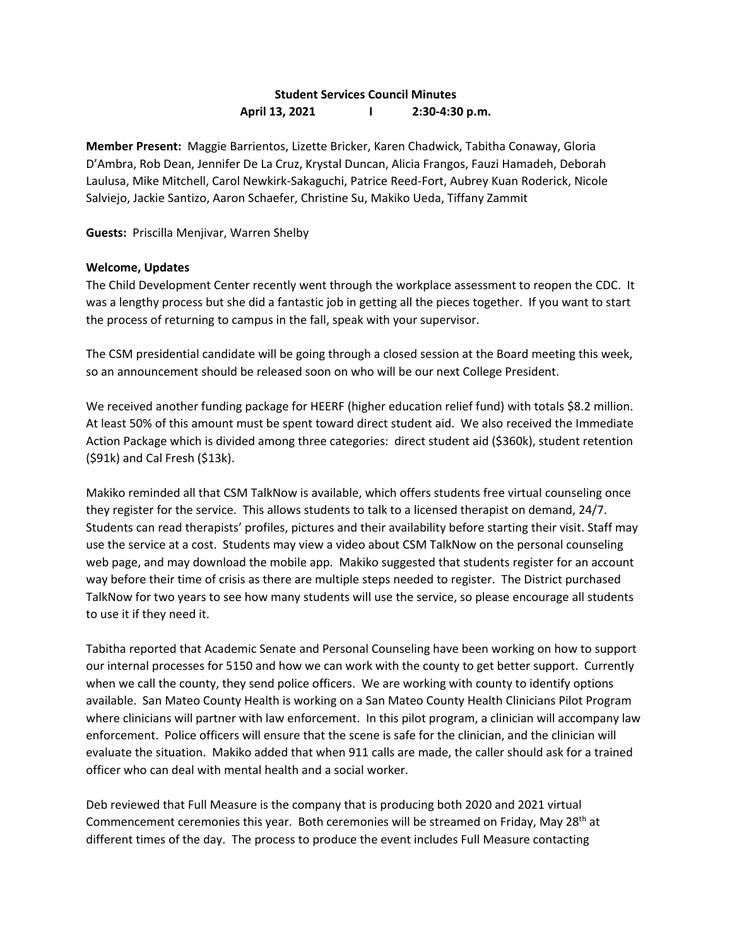## **Student Services Council Minutes April 13, 2021 I 2:30-4:30 p.m.**

**Member Present:** Maggie Barrientos, Lizette Bricker, Karen Chadwick, Tabitha Conaway, Gloria D'Ambra, Rob Dean, Jennifer De La Cruz, Krystal Duncan, Alicia Frangos, Fauzi Hamadeh, Deborah Laulusa, Mike Mitchell, Carol Newkirk-Sakaguchi, Patrice Reed-Fort, Aubrey Kuan Roderick, Nicole Salviejo, Jackie Santizo, Aaron Schaefer, Christine Su, Makiko Ueda, Tiffany Zammit

**Guests:** Priscilla Menjivar, Warren Shelby

## **Welcome, Updates**

The Child Development Center recently went through the workplace assessment to reopen the CDC. It was a lengthy process but she did a fantastic job in getting all the pieces together. If you want to start the process of returning to campus in the fall, speak with your supervisor.

The CSM presidential candidate will be going through a closed session at the Board meeting this week, so an announcement should be released soon on who will be our next College President.

We received another funding package for HEERF (higher education relief fund) with totals \$8.2 million. At least 50% of this amount must be spent toward direct student aid. We also received the Immediate Action Package which is divided among three categories: direct student aid (\$360k), student retention (\$91k) and Cal Fresh (\$13k).

Makiko reminded all that CSM TalkNow is available, which offers students free virtual counseling once they register for the service. This allows students to talk to a licensed therapist on demand, 24/7. Students can read therapists' profiles, pictures and their availability before starting their visit. Staff may use the service at a cost. Students may view a video about CSM TalkNow on the personal counseling web page, and may download the mobile app. Makiko suggested that students register for an account way before their time of crisis as there are multiple steps needed to register. The District purchased TalkNow for two years to see how many students will use the service, so please encourage all students to use it if they need it.

Tabitha reported that Academic Senate and Personal Counseling have been working on how to support our internal processes for 5150 and how we can work with the county to get better support. Currently when we call the county, they send police officers. We are working with county to identify options available. San Mateo County Health is working on a San Mateo County Health Clinicians Pilot Program where clinicians will partner with law enforcement. In this pilot program, a clinician will accompany law enforcement. Police officers will ensure that the scene is safe for the clinician, and the clinician will evaluate the situation. Makiko added that when 911 calls are made, the caller should ask for a trained officer who can deal with mental health and a social worker.

Deb reviewed that Full Measure is the company that is producing both 2020 and 2021 virtual Commencement ceremonies this year. Both ceremonies will be streamed on Friday, May 28<sup>th</sup> at different times of the day. The process to produce the event includes Full Measure contacting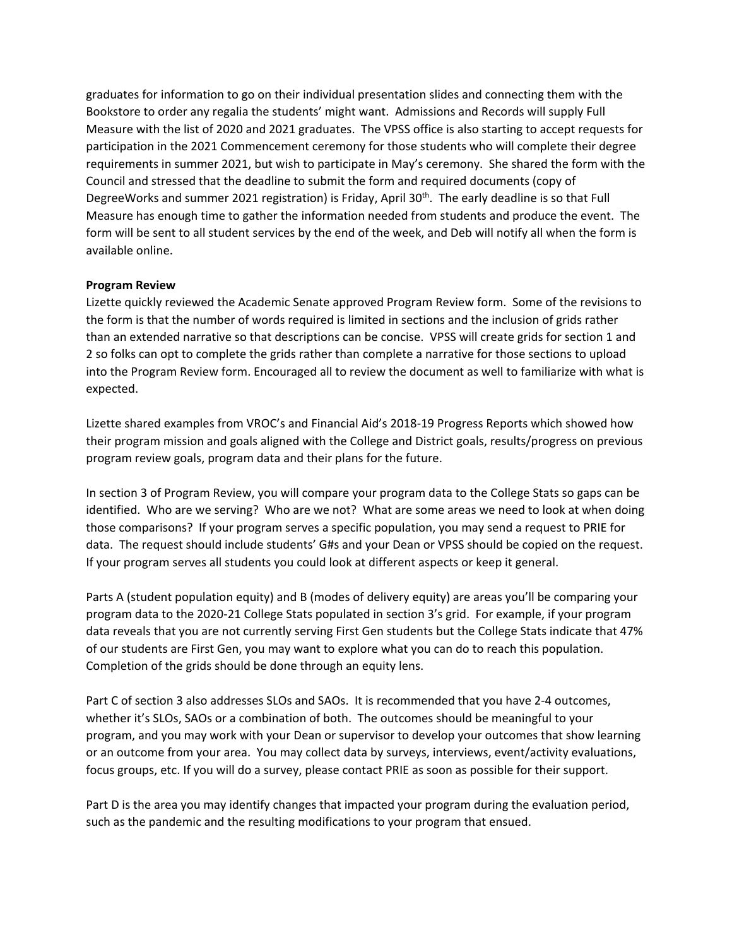graduates for information to go on their individual presentation slides and connecting them with the Bookstore to order any regalia the students' might want. Admissions and Records will supply Full Measure with the list of 2020 and 2021 graduates. The VPSS office is also starting to accept requests for participation in the 2021 Commencement ceremony for those students who will complete their degree requirements in summer 2021, but wish to participate in May's ceremony. She shared the form with the Council and stressed that the deadline to submit the form and required documents (copy of DegreeWorks and summer 2021 registration) is Friday, April 30<sup>th</sup>. The early deadline is so that Full Measure has enough time to gather the information needed from students and produce the event. The form will be sent to all student services by the end of the week, and Deb will notify all when the form is available online.

## **Program Review**

Lizette quickly reviewed the Academic Senate approved Program Review form. Some of the revisions to the form is that the number of words required is limited in sections and the inclusion of grids rather than an extended narrative so that descriptions can be concise. VPSS will create grids for section 1 and 2 so folks can opt to complete the grids rather than complete a narrative for those sections to upload into the Program Review form. Encouraged all to review the document as well to familiarize with what is expected.

Lizette shared examples from VROC's and Financial Aid's 2018-19 Progress Reports which showed how their program mission and goals aligned with the College and District goals, results/progress on previous program review goals, program data and their plans for the future.

In section 3 of Program Review, you will compare your program data to the College Stats so gaps can be identified. Who are we serving? Who are we not? What are some areas we need to look at when doing those comparisons? If your program serves a specific population, you may send a request to PRIE for data. The request should include students' G#s and your Dean or VPSS should be copied on the request. If your program serves all students you could look at different aspects or keep it general.

Parts A (student population equity) and B (modes of delivery equity) are areas you'll be comparing your program data to the 2020-21 College Stats populated in section 3's grid. For example, if your program data reveals that you are not currently serving First Gen students but the College Stats indicate that 47% of our students are First Gen, you may want to explore what you can do to reach this population. Completion of the grids should be done through an equity lens.

Part C of section 3 also addresses SLOs and SAOs. It is recommended that you have 2-4 outcomes, whether it's SLOs, SAOs or a combination of both. The outcomes should be meaningful to your program, and you may work with your Dean or supervisor to develop your outcomes that show learning or an outcome from your area. You may collect data by surveys, interviews, event/activity evaluations, focus groups, etc. If you will do a survey, please contact PRIE as soon as possible for their support.

Part D is the area you may identify changes that impacted your program during the evaluation period, such as the pandemic and the resulting modifications to your program that ensued.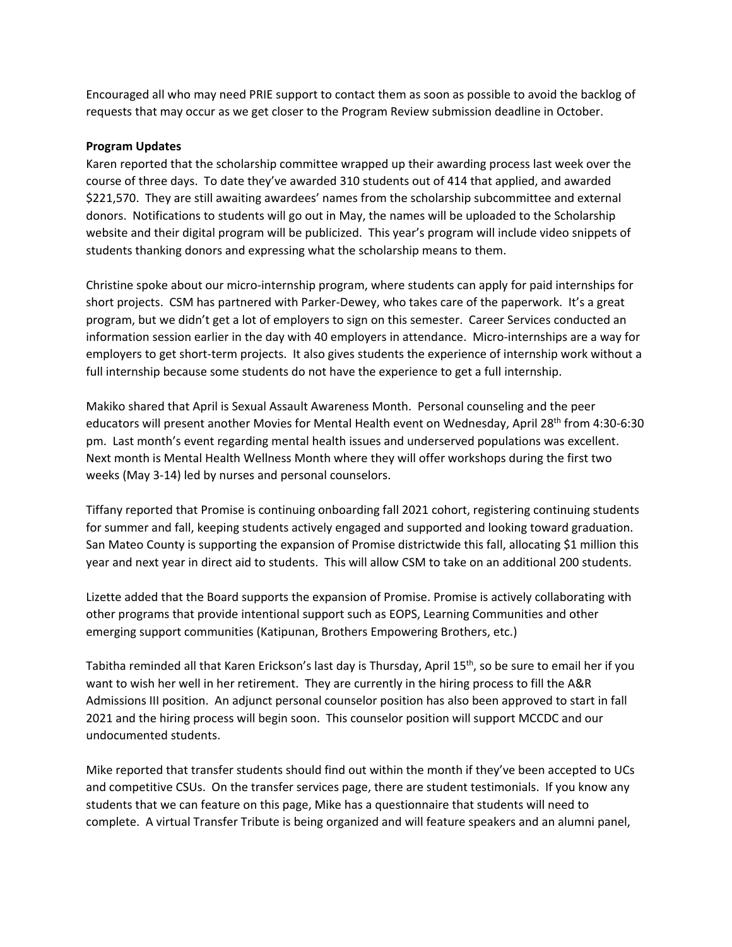Encouraged all who may need PRIE support to contact them as soon as possible to avoid the backlog of requests that may occur as we get closer to the Program Review submission deadline in October.

## **Program Updates**

Karen reported that the scholarship committee wrapped up their awarding process last week over the course of three days. To date they've awarded 310 students out of 414 that applied, and awarded \$221,570. They are still awaiting awardees' names from the scholarship subcommittee and external donors. Notifications to students will go out in May, the names will be uploaded to the Scholarship website and their digital program will be publicized. This year's program will include video snippets of students thanking donors and expressing what the scholarship means to them.

Christine spoke about our micro-internship program, where students can apply for paid internships for short projects. CSM has partnered with Parker-Dewey, who takes care of the paperwork. It's a great program, but we didn't get a lot of employers to sign on this semester. Career Services conducted an information session earlier in the day with 40 employers in attendance. Micro-internships are a way for employers to get short-term projects. It also gives students the experience of internship work without a full internship because some students do not have the experience to get a full internship.

Makiko shared that April is Sexual Assault Awareness Month. Personal counseling and the peer educators will present another Movies for Mental Health event on Wednesday, April 28th from 4:30-6:30 pm. Last month's event regarding mental health issues and underserved populations was excellent. Next month is Mental Health Wellness Month where they will offer workshops during the first two weeks (May 3-14) led by nurses and personal counselors.

Tiffany reported that Promise is continuing onboarding fall 2021 cohort, registering continuing students for summer and fall, keeping students actively engaged and supported and looking toward graduation. San Mateo County is supporting the expansion of Promise districtwide this fall, allocating \$1 million this year and next year in direct aid to students. This will allow CSM to take on an additional 200 students.

Lizette added that the Board supports the expansion of Promise. Promise is actively collaborating with other programs that provide intentional support such as EOPS, Learning Communities and other emerging support communities (Katipunan, Brothers Empowering Brothers, etc.)

Tabitha reminded all that Karen Erickson's last day is Thursday, April 15<sup>th</sup>, so be sure to email her if you want to wish her well in her retirement. They are currently in the hiring process to fill the A&R Admissions III position. An adjunct personal counselor position has also been approved to start in fall 2021 and the hiring process will begin soon. This counselor position will support MCCDC and our undocumented students.

Mike reported that transfer students should find out within the month if they've been accepted to UCs and competitive CSUs. On the transfer services page, there are student testimonials. If you know any students that we can feature on this page, Mike has a questionnaire that students will need to complete. A virtual Transfer Tribute is being organized and will feature speakers and an alumni panel,